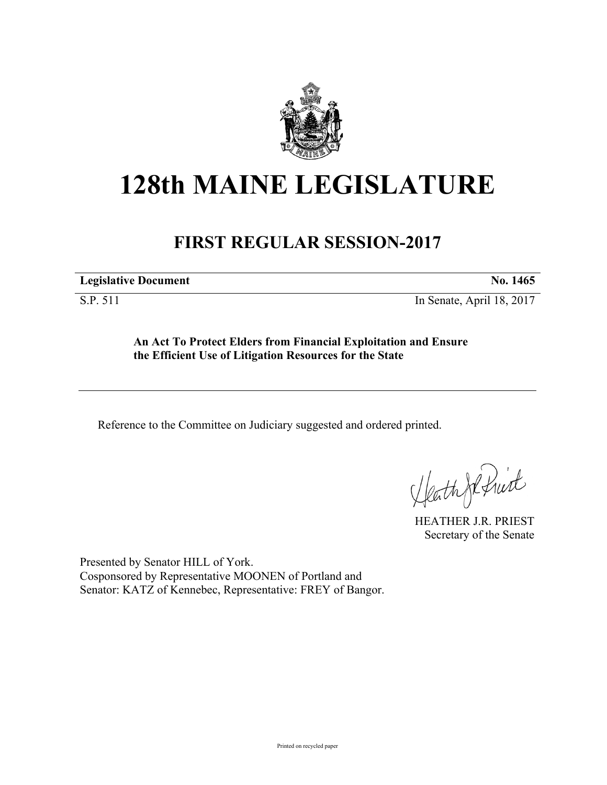

## **128th MAINE LEGISLATURE**

## **FIRST REGULAR SESSION-2017**

**Legislative Document No. 1465**

S.P. 511 In Senate, April 18, 2017

**An Act To Protect Elders from Financial Exploitation and Ensure the Efficient Use of Litigation Resources for the State**

Reference to the Committee on Judiciary suggested and ordered printed.

HeathJefruit

HEATHER J.R. PRIEST Secretary of the Senate

Presented by Senator HILL of York. Cosponsored by Representative MOONEN of Portland and Senator: KATZ of Kennebec, Representative: FREY of Bangor.